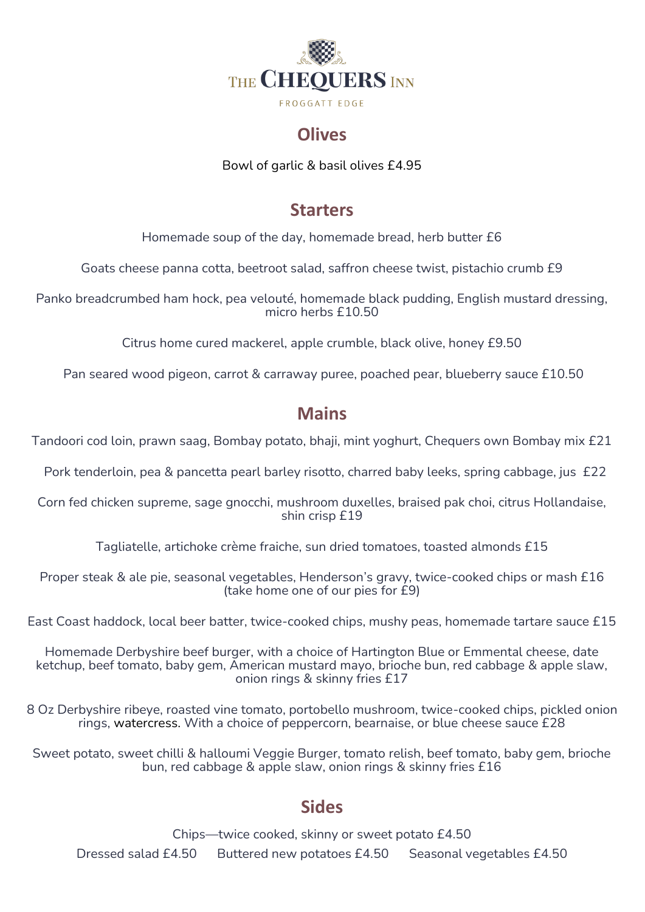

### **Olives**

Bowl of garlic & basil olives £4.95

### **Starters**

Homemade soup of the day, homemade bread, herb butter £6

Goats cheese panna cotta, beetroot salad, saffron cheese twist, pistachio crumb £9

Panko breadcrumbed ham hock, pea velouté, homemade black pudding, English mustard dressing, micro herbs £10.50

Citrus home cured mackerel, apple crumble, black olive, honey £9.50

Pan seared wood pigeon, carrot & carraway puree, poached pear, blueberry sauce £10.50

## **Mains**

Tandoori cod loin, prawn saag, Bombay potato, bhaji, mint yoghurt, Chequers own Bombay mix £21

Pork tenderloin, pea & pancetta pearl barley risotto, charred baby leeks, spring cabbage, jus £22

Corn fed chicken supreme, sage gnocchi, mushroom duxelles, braised pak choi, citrus Hollandaise, shin crisp £19

Tagliatelle, artichoke crème fraiche, sun dried tomatoes, toasted almonds £15

Proper steak & ale pie, seasonal vegetables, Henderson's gravy, twice-cooked chips or mash £16 (take home one of our pies for £9)

East Coast haddock, local beer batter, twice-cooked chips, mushy peas, homemade tartare sauce £15

Homemade Derbyshire beef burger, with a choice of Hartington Blue or Emmental cheese, date ketchup, beef tomato, baby gem, American mustard mayo, brioche bun, red cabbage & apple slaw, onion rings & skinny fries £17

8 Oz Derbyshire ribeye, roasted vine tomato, portobello mushroom, twice-cooked chips, pickled onion rings, watercress. With a choice of peppercorn, bearnaise, or blue cheese sauce £28

Sweet potato, sweet chilli & halloumi Veggie Burger, tomato relish, beef tomato, baby gem, brioche bun, red cabbage & apple slaw, onion rings & skinny fries £16

### **Sides**

Chips—twice cooked, skinny or sweet potato £4.50 Dressed salad £4.50 Buttered new potatoes £4.50 Seasonal vegetables £4.50